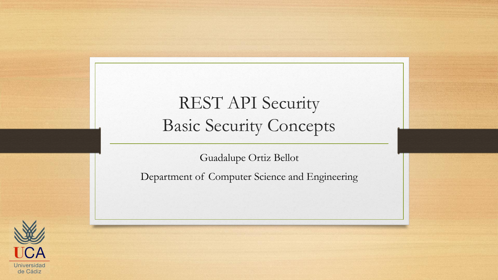#### REST API Security Basic Security Concepts

Guadalupe Ortiz Bellot

Department of Computer Science and Engineering

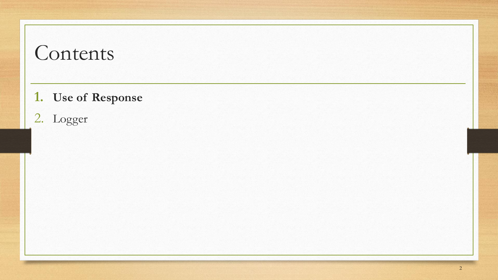### Contents

- **1. Use of Response**
- 2. Logger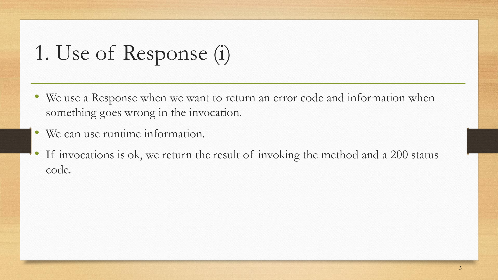1. Use of Response (i)

- We use a Response when we want to return an error code and information when something goes wrong in the invocation.
- We can use runtime information.
- If invocations is ok, we return the result of invoking the method and a 200 status code.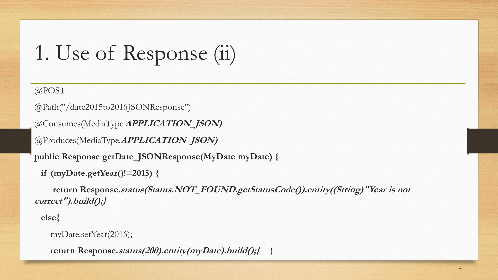```
1. Use of Response (ii)
```
@POST

```
@Path("/date2015to2016JSONResponse")
```

```
@Consumes(MediaType.APPLICATION_JSON)
```

```
@Produces(MediaType.APPLICATION_JSON)
```
**public Response getDate\_JSONResponse(MyDate myDate) {** 

```
if (myDate.getYear()!=2015) {
```
**return Response.status(Status.NOT\_FOUND.getStatusCode()).entity((String)"Year is not correct").build();}**

**else{**

```
myDate.setYear(2016);
```
**return Response.status(200).entity(myDate).build();}** }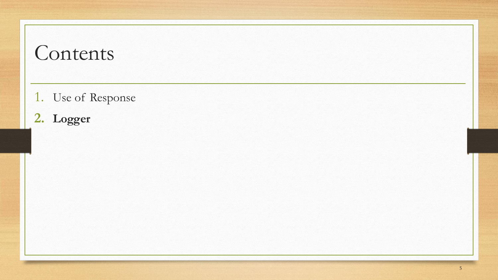### Contents

- 1. Use of Response
- **2. Logger**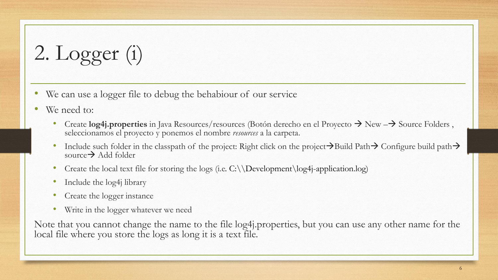2. Logger (i)

- We can use a logger file to debug the behabiour of our service
- We need to:
	- Create **log4j.properties** in Java Resources/resources (Botón derecho en el Proyecto → New –→ Source Folders , seleccionamos el proyecto y ponemos el nombre *resources* a la carpeta.
	- Include such folder in the classpath of the project: Right click on the project→Build Path→ Configure build path→ source→ Add folder
	- Create the local text file for storing the logs (i.e.  $C:\D$ evelopment $\log_4$ j-application.log)
	- Include the log4j library
	- Create the logger instance
	- Write in the logger whatever we need

Note that you cannot change the name to the file log4j.properties, but you can use any other name for the local file where you store the logs as long it is a text file.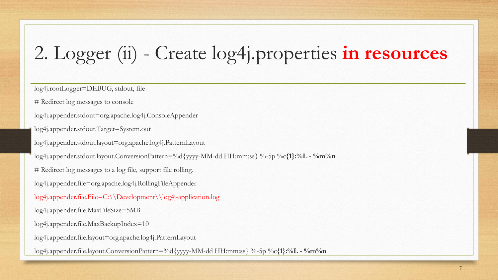## 2. Logger (ii) - Create log4j.properties **in resources**

log4j.rootLogger=DEBUG, stdout, file

# Redirect log messages to console

log4j.appender.stdout=org.apache.log4j.ConsoleAppender

log4j.appender.stdout.Target=System.out

log4j.appender.stdout.layout=org.apache.log4j.PatternLayout

log4j.appender.stdout.layout.ConversionPattern=%d{yyyy-MM-dd HH:mm:ss} %-5p %c**{1}:%L - %m%n**

# Redirect log messages to a log file, support file rolling.

log4j.appender.file=org.apache.log4j.RollingFileAppender

log4j.appender.file.File=C:\\Development\\log4j-application.log

log4j.appender.file.MaxFileSize=5MB

log4j.appender.file.MaxBackupIndex=10

log4j.appender.file.layout=org.apache.log4j.PatternLayout

log4j.appender.file.layout.ConversionPattern=%d{yyyy-MM-dd HH:mm:ss} %-5p %c**{1}:%L - %m%n**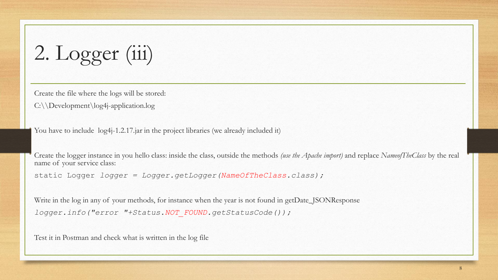2. Logger (iii)

Create the file where the logs will be stored:

C:\\Development\log4j-application.log

You have to include  $log 4j - 1.2.17$  jar in the project libraries (we already included it)

Create the logger instance in you hello class: inside the class, outside the methods *(use the Apache import)* and replace *NameofTheClass* by the real name of your service class:

static Logger *logger = Logger.getLogger(NameOfTheClass.class);*

Write in the log in any of your methods, for instance when the year is not found in getDate\_JSONResponse *logger.info("error "+Status.NOT\_FOUND.getStatusCode());*

Test it in Postman and check what is written in the log file